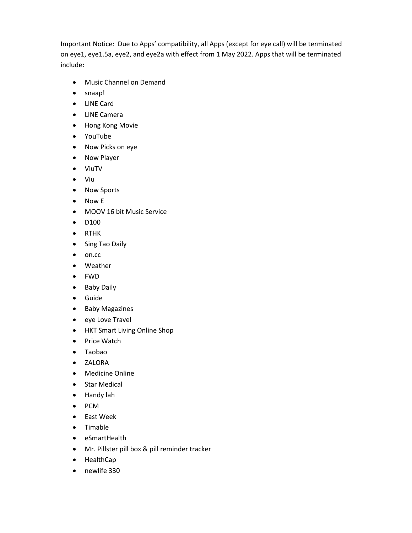Important Notice: Due to Apps' compatibility, all Apps (except for eye call) will be terminated on eye1, eye1.5a, eye2, and eye2a with effect from 1 May 2022. Apps that will be terminated include:

- Music Channel on Demand
- snaap!
- LINE Card
- LINE Camera
- Hong Kong Movie
- YouTube
- Now Picks on eye
- Now Player
- ViuTV
- Viu
- Now Sports
- Now E
- MOOV 16 bit Music Service
- D100
- RTHK
- Sing Tao Daily
- $\bullet$  on.cc
- Weather
- FWD
- Baby Daily
- Guide
- Baby Magazines
- eye Love Travel
- HKT Smart Living Online Shop
- Price Watch
- Taobao
- ZALORA
- Medicine Online
- Star Medical
- Handy lah
- PCM
- East Week
- Timable
- eSmartHealth
- Mr. Pillster pill box & pill reminder tracker
- HealthCap
- newlife 330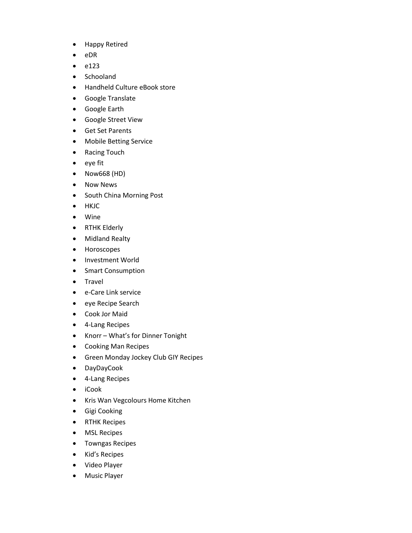- Happy Retired
- eDR
- $e$  e123
- Schooland
- Handheld Culture eBook store
- Google Translate
- Google Earth
- Google Street View
- Get Set Parents
- Mobile Betting Service
- Racing Touch
- eye fit
- Now668 (HD)
- Now News
- South China Morning Post
- HKJC
- Wine
- RTHK Elderly
- Midland Realty
- Horoscopes
- Investment World
- Smart Consumption
- Travel
- e-Care Link service
- eye Recipe Search
- Cook Jor Maid
- 4-Lang Recipes
- Knorr What's for Dinner Tonight
- Cooking Man Recipes
- Green Monday Jockey Club GIY Recipes
- DayDayCook
- 4-Lang Recipes
- iCook
- Kris Wan Vegcolours Home Kitchen
- **•** Gigi Cooking
- RTHK Recipes
- MSL Recipes
- **•** Towngas Recipes
- Kid's Recipes
- Video Player
- Music Player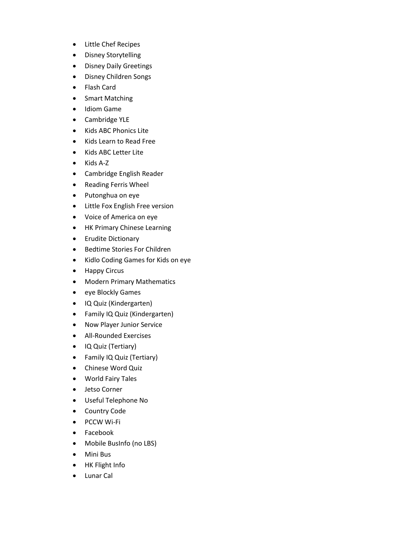- Little Chef Recipes
- Disney Storytelling
- Disney Daily Greetings
- Disney Children Songs
- Flash Card
- Smart Matching
- Idiom Game
- Cambridge YLE
- Kids ABC Phonics Lite
- Kids Learn to Read Free
- Kids ABC Letter Lite
- Kids A-Z
- Cambridge English Reader
- Reading Ferris Wheel
- Putonghua on eye
- Little Fox English Free version
- Voice of America on eye
- HK Primary Chinese Learning
- Erudite Dictionary
- **•** Bedtime Stories For Children
- Kidlo Coding Games for Kids on eye
- Happy Circus
- Modern Primary Mathematics
- eye Blockly Games
- IQ Quiz (Kindergarten)
- Family IQ Quiz (Kindergarten)
- Now Player Junior Service
- All-Rounded Exercises
- IQ Quiz (Tertiary)
- Family IQ Quiz (Tertiary)
- Chinese Word Quiz
- World Fairy Tales
- Jetso Corner
- Useful Telephone No
- Country Code
- PCCW Wi-Fi
- Facebook
- Mobile BusInfo (no LBS)
- Mini Bus
- HK Flight Info
- Lunar Cal